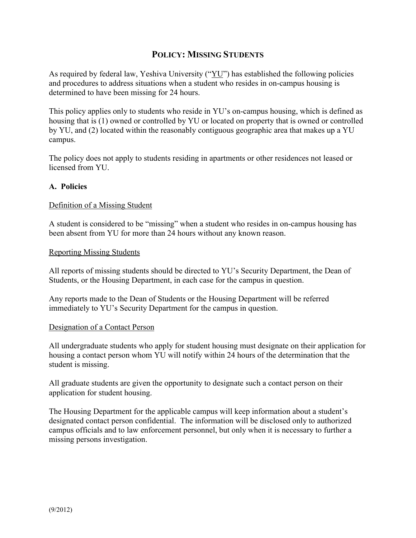### **POLICY: MISSING STUDENTS**

As required by federal law, Yeshiva University (" $YU$ ") has established the following policies and procedures to address situations when a student who resides in on-campus housing is determined to have been missing for 24 hours.

This policy applies only to students who reside in YU's on-campus housing, which is defined as housing that is (1) owned or controlled by YU or located on property that is owned or controlled by YU, and (2) located within the reasonably contiguous geographic area that makes up a YU campus.

The policy does not apply to students residing in apartments or other residences not leased or licensed from YU.

#### **A. Policies**

#### Definition of a Missing Student

A student is considered to be "missing" when a student who resides in on-campus housing has been absent from YU for more than 24 hours without any known reason.

#### Reporting Missing Students

All reports of missing students should be directed to YU's Security Department, the Dean of Students, or the Housing Department, in each case for the campus in question.

Any reports made to the Dean of Students or the Housing Department will be referred immediately to YU's Security Department for the campus in question.

#### Designation of a Contact Person

All undergraduate students who apply for student housing must designate on their application for housing a contact person whom YU will notify within 24 hours of the determination that the student is missing.

All graduate students are given the opportunity to designate such a contact person on their application for student housing.

The Housing Department for the applicable campus will keep information about a student's designated contact person confidential. The information will be disclosed only to authorized campus officials and to law enforcement personnel, but only when it is necessary to further a missing persons investigation.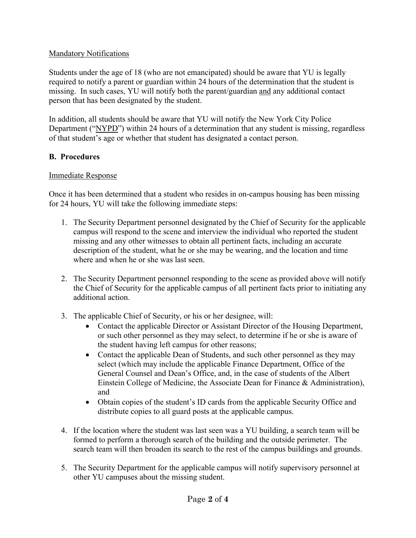### Mandatory Notifications

Students under the age of 18 (who are not emancipated) should be aware that YU is legally required to notify a parent or guardian within 24 hours of the determination that the student is missing. In such cases, YU will notify both the parent/guardian and any additional contact person that has been designated by the student.

In addition, all students should be aware that YU will notify the New York City Police Department ("NYPD") within 24 hours of a determination that any student is missing, regardless of that student's age or whether that student has designated a contact person.

# **B. Procedures**

## Immediate Response

Once it has been determined that a student who resides in on-campus housing has been missing for 24 hours, YU will take the following immediate steps:

- 1. The Security Department personnel designated by the Chief of Security for the applicable campus will respond to the scene and interview the individual who reported the student missing and any other witnesses to obtain all pertinent facts, including an accurate description of the student, what he or she may be wearing, and the location and time where and when he or she was last seen.
- 2. The Security Department personnel responding to the scene as provided above will notify the Chief of Security for the applicable campus of all pertinent facts prior to initiating any additional action.
- 3. The applicable Chief of Security, or his or her designee, will:
	- Contact the applicable Director or Assistant Director of the Housing Department, or such other personnel as they may select, to determine if he or she is aware of the student having left campus for other reasons;
	- Contact the applicable Dean of Students, and such other personnel as they may select (which may include the applicable Finance Department, Office of the General Counsel and Dean's Office, and, in the case of students of the Albert Einstein College of Medicine, the Associate Dean for Finance & Administration), and
	- Obtain copies of the student's ID cards from the applicable Security Office and distribute copies to all guard posts at the applicable campus.
- 4. If the location where the student was last seen was a YU building, a search team will be formed to perform a thorough search of the building and the outside perimeter. The search team will then broaden its search to the rest of the campus buildings and grounds.
- 5. The Security Department for the applicable campus will notify supervisory personnel at other YU campuses about the missing student.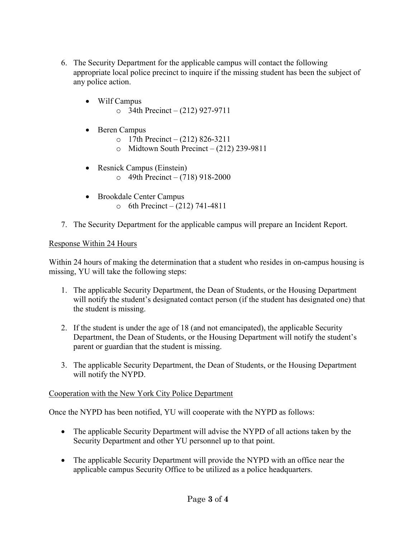- 6. The Security Department for the applicable campus will contact the following appropriate local police precinct to inquire if the missing student has been the subject of any police action.
	- Wilf Campus  $\circ$  34th Precinct – (212) 927-9711
	- Beren Campus
		- $\circ$  17th Precinct (212) 826-3211
		- $\circ$  Midtown South Precinct (212) 239-9811
	- Resnick Campus (Einstein)  $\circ$  49th Precinct – (718) 918-2000
	- Brookdale Center Campus  $\circ$  6th Precinct – (212) 741-4811
- 7. The Security Department for the applicable campus will prepare an Incident Report.

### Response Within 24 Hours

Within 24 hours of making the determination that a student who resides in on-campus housing is missing, YU will take the following steps:

- 1. The applicable Security Department, the Dean of Students, or the Housing Department will notify the student's designated contact person (if the student has designated one) that the student is missing.
- 2. If the student is under the age of 18 (and not emancipated), the applicable Security Department, the Dean of Students, or the Housing Department will notify the student's parent or guardian that the student is missing.
- 3. The applicable Security Department, the Dean of Students, or the Housing Department will notify the NYPD.

### Cooperation with the New York City Police Department

Once the NYPD has been notified, YU will cooperate with the NYPD as follows:

- The applicable Security Department will advise the NYPD of all actions taken by the Security Department and other YU personnel up to that point.
- The applicable Security Department will provide the NYPD with an office near the applicable campus Security Office to be utilized as a police headquarters.